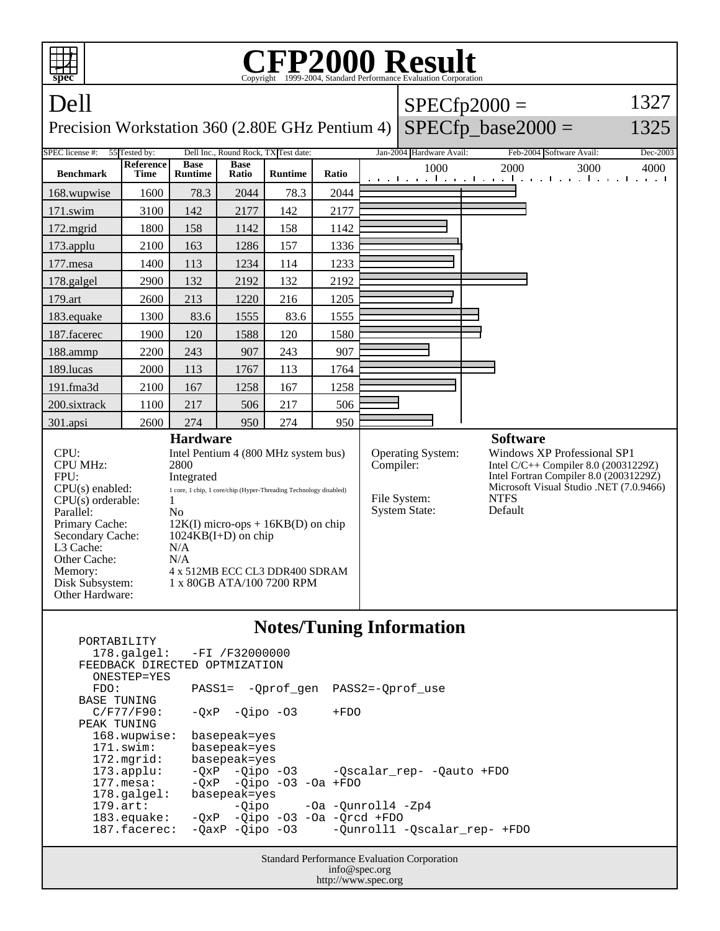| <b>P2000 Result</b><br>Copyright ©1999-2004, Standard Performance Evaluation Corporation<br>spec                                                                                                                                                                                                             |                   |                               |                      |                                                                                                                                                                                                                  |       |                 |                                                                               |                                                                                                                                                                                             |  |
|--------------------------------------------------------------------------------------------------------------------------------------------------------------------------------------------------------------------------------------------------------------------------------------------------------------|-------------------|-------------------------------|----------------------|------------------------------------------------------------------------------------------------------------------------------------------------------------------------------------------------------------------|-------|-----------------|-------------------------------------------------------------------------------|---------------------------------------------------------------------------------------------------------------------------------------------------------------------------------------------|--|
| Dell                                                                                                                                                                                                                                                                                                         |                   |                               |                      |                                                                                                                                                                                                                  |       |                 |                                                                               | 1327<br>$SPECfp2000 =$                                                                                                                                                                      |  |
| Precision Workstation 360 (2.80E GHz Pentium 4)                                                                                                                                                                                                                                                              |                   |                               |                      |                                                                                                                                                                                                                  |       |                 |                                                                               | $SPECfp\_base2000 =$<br>1325                                                                                                                                                                |  |
| SPEC license #:<br>55 Tested by:<br>Dell Inc., Round Rock, TX Test date:                                                                                                                                                                                                                                     |                   |                               |                      |                                                                                                                                                                                                                  |       |                 | Jan-2004 Hardware Avail:                                                      | Feb-2004 Software Avail:<br>Dec-2003                                                                                                                                                        |  |
| <b>Benchmark</b>                                                                                                                                                                                                                                                                                             | Reference<br>Time | <b>Base</b><br><b>Runtime</b> | <b>Base</b><br>Ratio | <b>Runtime</b>                                                                                                                                                                                                   | Ratio |                 | 1000                                                                          | 2000<br>3000<br>4000<br>and the model of a final contract the model of a final contract                                                                                                     |  |
| 168.wupwise                                                                                                                                                                                                                                                                                                  | 1600              | 78.3                          | 2044                 | 78.3                                                                                                                                                                                                             | 2044  |                 |                                                                               |                                                                                                                                                                                             |  |
| $171$ .swim                                                                                                                                                                                                                                                                                                  | 3100              | 142                           | 2177                 | 142                                                                                                                                                                                                              | 2177  |                 |                                                                               |                                                                                                                                                                                             |  |
| $172$ . mgrid                                                                                                                                                                                                                                                                                                | 1800              | 158                           | 1142                 | 158                                                                                                                                                                                                              | 1142  |                 |                                                                               |                                                                                                                                                                                             |  |
| 173.applu                                                                                                                                                                                                                                                                                                    | 2100              | 163                           | 1286                 | 157                                                                                                                                                                                                              | 1336  |                 |                                                                               |                                                                                                                                                                                             |  |
| 177.mesa                                                                                                                                                                                                                                                                                                     | 1400              | 113                           | 1234                 | 114                                                                                                                                                                                                              | 1233  |                 |                                                                               |                                                                                                                                                                                             |  |
| 178.galgel                                                                                                                                                                                                                                                                                                   | 2900              | 132                           | 2192                 | 132                                                                                                                                                                                                              | 2192  |                 |                                                                               |                                                                                                                                                                                             |  |
| 179.art                                                                                                                                                                                                                                                                                                      | 2600              | 213                           | 1220                 | 216                                                                                                                                                                                                              | 1205  |                 |                                                                               |                                                                                                                                                                                             |  |
| 183.equake                                                                                                                                                                                                                                                                                                   | 1300              | 83.6                          | 1555                 | 83.6                                                                                                                                                                                                             | 1555  |                 |                                                                               |                                                                                                                                                                                             |  |
| 187.facerec                                                                                                                                                                                                                                                                                                  | 1900              | 120                           | 1588                 | 120                                                                                                                                                                                                              | 1580  |                 |                                                                               |                                                                                                                                                                                             |  |
| 188.ammp                                                                                                                                                                                                                                                                                                     | 2200              | 243                           | 907                  | 243                                                                                                                                                                                                              | 907   |                 |                                                                               |                                                                                                                                                                                             |  |
| 189.lucas                                                                                                                                                                                                                                                                                                    | 2000              | 113                           | 1767                 | 113                                                                                                                                                                                                              | 1764  |                 |                                                                               |                                                                                                                                                                                             |  |
| 191.fma3d                                                                                                                                                                                                                                                                                                    | 2100              | 167                           | 1258                 | 167                                                                                                                                                                                                              | 1258  |                 |                                                                               |                                                                                                                                                                                             |  |
| 200.sixtrack                                                                                                                                                                                                                                                                                                 | 1100              | 217                           | 506                  | 217                                                                                                                                                                                                              | 506   |                 |                                                                               |                                                                                                                                                                                             |  |
| 301.apsi                                                                                                                                                                                                                                                                                                     | 2600              | 274                           | 950                  | 274                                                                                                                                                                                                              | 950   |                 |                                                                               |                                                                                                                                                                                             |  |
| <b>Hardware</b>                                                                                                                                                                                                                                                                                              |                   |                               |                      |                                                                                                                                                                                                                  |       | <b>Software</b> |                                                                               |                                                                                                                                                                                             |  |
| CPU:<br><b>CPU MHz:</b><br>2800<br>FPU:<br>Integrated<br>$CPU(s)$ enabled:<br>$CPU(s)$ orderable:<br>1<br>Parallel:<br>N <sub>0</sub><br>Primary Cache:<br>Secondary Cache:<br>$1024KB(I+D)$ on chip<br>L <sub>3</sub> Cache:<br>N/A<br>Other Cache:<br>N/A<br>Memory:<br>Disk Subsystem:<br>Other Hardware: |                   |                               |                      | Intel Pentium 4 (800 MHz system bus)<br>1 core, 1 chip, 1 core/chip (Hyper-Threading Technology disabled)<br>$12K(I)$ micro-ops + 16KB(D) on chip<br>4 x 512MB ECC CL3 DDR400 SDRAM<br>1 x 80GB ATA/100 7200 RPM |       |                 | <b>Operating System:</b><br>Compiler:<br>File System:<br><b>System State:</b> | <b>Windows XP Professional SP1</b><br>Intel $C/C++$ Compiler 8.0 (20031229Z)<br>Intel Fortran Compiler 8.0 (20031229Z)<br>Microsoft Visual Studio .NET (7.0.9466)<br><b>NTFS</b><br>Default |  |
| <b>Notes/Tuning Information</b><br>PORTABILITY                                                                                                                                                                                                                                                               |                   |                               |                      |                                                                                                                                                                                                                  |       |                 |                                                                               |                                                                                                                                                                                             |  |

|                                                    | $178.\text{qalgel}: -FI /F32000000$ |                                              |  |  |  |  |  |  |  |  |
|----------------------------------------------------|-------------------------------------|----------------------------------------------|--|--|--|--|--|--|--|--|
| FEEDBACK DIRECTED OPTMIZATION                      |                                     |                                              |  |  |  |  |  |  |  |  |
| ONESTEP=YES                                        |                                     |                                              |  |  |  |  |  |  |  |  |
| FDO:                                               | PASS1= -Oprof gen PASS2=-Oprof use  |                                              |  |  |  |  |  |  |  |  |
| <b>BASE TUNING</b>                                 |                                     |                                              |  |  |  |  |  |  |  |  |
| $C/F77/F90$ :                                      | $-OXP -Qipo -O3$                    | $+FDO$                                       |  |  |  |  |  |  |  |  |
| PEAK TUNING                                        |                                     |                                              |  |  |  |  |  |  |  |  |
| 168.wupwise:                                       | basepeak=yes                        |                                              |  |  |  |  |  |  |  |  |
| $171$ .swim:                                       | basepeak=yes                        |                                              |  |  |  |  |  |  |  |  |
| 172.mgrid:                                         | basepeak=yes                        |                                              |  |  |  |  |  |  |  |  |
| $173.\text{applu}:$                                |                                     | -QxP -Qipo -O3 -Qscalar rep- -Qauto +FDO     |  |  |  |  |  |  |  |  |
| $177$ . mesa:                                      | $-OXP$ $-Oipo$ $-O3$ $-Oa$ $+FDO$   |                                              |  |  |  |  |  |  |  |  |
| $178.\text{qalgel}$ :                              | basepeak=yes                        |                                              |  |  |  |  |  |  |  |  |
| $179.\text{art}$ :                                 |                                     | -Qipo -Oa -Qunroll4 -Zp4                     |  |  |  |  |  |  |  |  |
| 183.equake:                                        | $-QXP$ -Qipo -03 -0a -Qrcd +FDO     |                                              |  |  |  |  |  |  |  |  |
| 187.facerec:                                       |                                     | -QaxP -Qipo -03 -Qunroll1 -Qscalar_rep- +FDO |  |  |  |  |  |  |  |  |
|                                                    |                                     |                                              |  |  |  |  |  |  |  |  |
| <b>Standard Performance Evaluation Corporation</b> |                                     |                                              |  |  |  |  |  |  |  |  |
|                                                    | info@spec.org                       |                                              |  |  |  |  |  |  |  |  |

http://www.spec.org